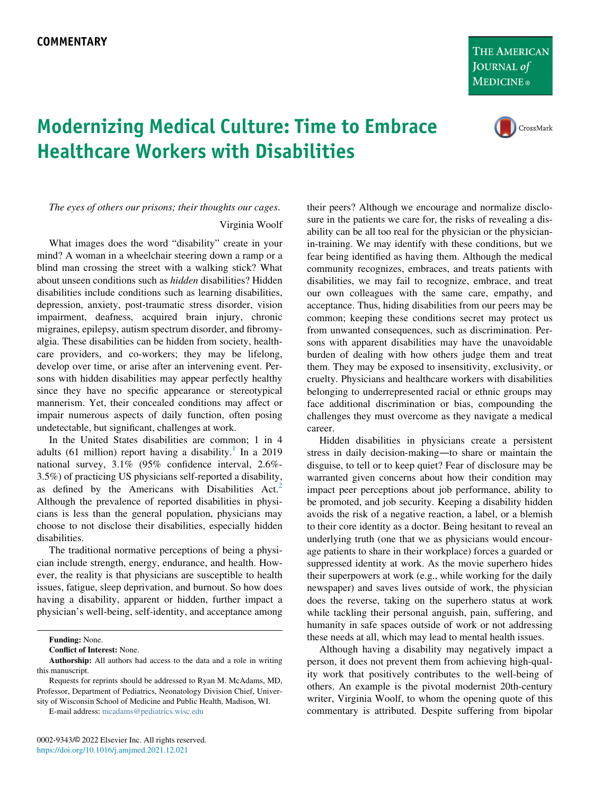THE AMERICAN **JOURNAL of MEDICINE**®



## Modernizing Medical Culture: Time to Embrace Healthcare Workers with Disabilities

The eyes of others our prisons; their thoughts our cages.

Virginia Woolf

What images does the word "disability" create in your mind? A woman in a wheelchair steering down a ramp or a blind man crossing the street with a walking stick? What about unseen conditions such as hidden disabilities? Hidden disabilities include conditions such as learning disabilities, depression, anxiety, post-traumatic stress disorder, vision impairment, deafness, acquired brain injury, chronic migraines, epilepsy, autism spectrum disorder, and fibromyalgia. These disabilities can be hidden from society, healthcare providers, and co-workers; they may be lifelong, develop over time, or arise after an intervening event. Persons with hidden disabilities may appear perfectly healthy since they have no specific appearance or stereotypical mannerism. Yet, their concealed conditions may affect or impair numerous aspects of daily function, often posing undetectable, but significant, challenges at work.

In the United States disabilities are common; 1 in 4 adults (6[1](#page-1-0) million) report having a disability.<sup>1</sup> In a 2019 national survey, 3.1% (95% confidence interval, 2.6%- 3.5%) of practicing US physicians self-reported a disability, as defined by the Americans with Disabilities Act.<sup>2</sup> Although the prevalence of reported disabilities in physicians is less than the general population, physicians may choose to not disclose their disabilities, especially hidden disabilities.

The traditional normative perceptions of being a physician include strength, energy, endurance, and health. However, the reality is that physicians are susceptible to health issues, fatigue, sleep deprivation, and burnout. So how does having a disability, apparent or hidden, further impact a physician's well-being, self-identity, and acceptance among

their peers? Although we encourage and normalize disclosure in the patients we care for, the risks of revealing a disability can be all too real for the physician or the physicianin-training. We may identify with these conditions, but we fear being identified as having them. Although the medical community recognizes, embraces, and treats patients with disabilities, we may fail to recognize, embrace, and treat our own colleagues with the same care, empathy, and acceptance. Thus, hiding disabilities from our peers may be common; keeping these conditions secret may protect us from unwanted consequences, such as discrimination. Persons with apparent disabilities may have the unavoidable burden of dealing with how others judge them and treat them. They may be exposed to insensitivity, exclusivity, or cruelty. Physicians and healthcare workers with disabilities belonging to underrepresented racial or ethnic groups may face additional discrimination or bias, compounding the challenges they must overcome as they navigate a medical career.

Hidden disabilities in physicians create a persistent stress in daily decision-making—to share or maintain the disguise, to tell or to keep quiet? Fear of disclosure may be warranted given concerns about how their condition may impact peer perceptions about job performance, ability to be promoted, and job security. Keeping a disability hidden avoids the risk of a negative reaction, a label, or a blemish to their core identity as a doctor. Being hesitant to reveal an underlying truth (one that we as physicians would encourage patients to share in their workplace) forces a guarded or suppressed identity at work. As the movie superhero hides their superpowers at work (e.g., while working for the daily newspaper) and saves lives outside of work, the physician does the reverse, taking on the superhero status at work while tackling their personal anguish, pain, suffering, and humanity in safe spaces outside of work or not addressing these needs at all, which may lead to mental health issues.

Although having a disability may negatively impact a person, it does not prevent them from achieving high-quality work that positively contributes to the well-being of others. An example is the pivotal modernist 20th-century writer, Virginia Woolf, to whom the opening quote of this commentary is attributed. Despite suffering from bipolar

Funding: None.

Conflict of Interest: None.

Authorship: All authors had access to the data and a role in writing this manuscript.

Requests for reprints should be addressed to Ryan M. McAdams, MD, Professor, Department of Pediatrics, Neonatology Division Chief, University of Wisconsin School of Medicine and Public Health, Madison, WI.

E-mail address: [mcadams@pediatrics.wisc.edu](mailto:mcadams@pediatrics.wisc.edu)